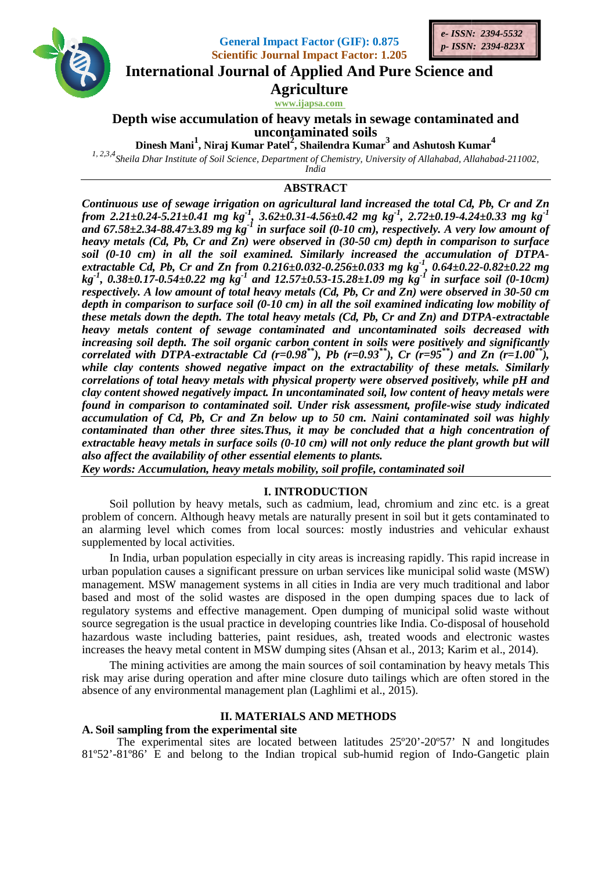





**International Journal of Applied And Pure Science and** 

**Agriculture** 

www.ijapsa.com

# Depth wise accumulation of heavy metals in sewage contaminated and uncontaminated soils

Dinesh Mani<sup>1</sup>, Niraj Kumar Patel<sup>2</sup>, Shailendra Kumar<sup>3</sup> and Ashutosh Kumar<sup>4</sup>

<sup>1, 2,3,4</sup> Sheila Dhar Institute of Soil Science, Department of Chemistry, University of Allahabad, Allahabad-211002,

India

# **ABSTRACT**

Continuous use of sewage irrigation on agricultural land increased the total Cd, Pb, Cr and Zn from 2.21±0.24-5.21±0.41 mg kg<sup>-1</sup>, 3.62±0.31-4.56±0.42 mg kg<sup>-1</sup>, 2.72±0.19-4.24±0.33 mg kg<sup>-1</sup> and 67.58±2.34-88.47±3.89 mg kg<sup>-1</sup> in surface soil (0-10 cm), respectively. A very low amount of heavy metals (Cd, Pb, Cr and Zn) were observed in (30-50 cm) depth in comparison to surface soil (0-10 cm) in all the soil examined. Similarly increased the accumulation of DTPA-<br>extractable Cd, Pb, Cr and Zn from 0.216±0.032-0.256±0.033 mg kg<sup>-1</sup>, 0.64±0.22-0.82±0.22 mg<br>kg<sup>-1</sup>, 0.38±0.17-0.54±0.22 mg kg<sup>-1</sup> and respectively. A low amount of total heavy metals (Cd, Pb, Cr and  $\overline{Zn}$ ) were observed in 30-50 cm depth in comparison to surface soil (0-10 cm) in all the soil examined indicating low mobility of these metals down the depth. The total heavy metals (Cd, Pb, Cr and Zn) and DTPA-extractable heavy metals content of sewage contaminated and uncontaminated soils decreased with increasing soil depth. The soil organic carbon content in soils were positively and significantly correlated with DTPA-extractable Cd  $(r=0.98^{**})$ , Pb  $(r=0.93^{**})$ , Cr  $(r=95^{**})$  and Zn  $(r=1.00^{**})$ , while clay contents showed negative impact on the extractability of these metals. Similarly correlations of total heavy metals with physical property were observed positively, while pH and clay content showed negatively impact. In uncontaminated soil, low content of heavy metals were found in comparison to contaminated soil. Under risk assessment, profile-wise study indicated accumulation of Cd, Pb, Cr and Zn below up to 50 cm. Naini contaminated soil was highly contaminated than other three sites. Thus, it may be concluded that a high concentration of extractable heavy metals in surface soils  $(0-10 \text{ cm})$  will not only reduce the plant growth but will also affect the availability of other essential elements to plants.

Key words: Accumulation, heavy metals mobility, soil profile, contaminated soil

# **I. INTRODUCTION**

Soil pollution by heavy metals, such as cadmium, lead, chromium and zinc etc. is a great problem of concern. Although heavy metals are naturally present in soil but it gets contaminated to an alarming level which comes from local sources: mostly industries and vehicular exhaust supplemented by local activities.

In India, urban population especially in city areas is increasing rapidly. This rapid increase in urban population causes a significant pressure on urban services like municipal solid waste (MSW) management. MSW management systems in all cities in India are very much traditional and labor based and most of the solid wastes are disposed in the open dumping spaces due to lack of regulatory systems and effective management. Open dumping of municipal solid waste without source segregation is the usual practice in developing countries like India. Co-disposal of household hazardous waste including batteries, paint residues, ash, treated woods and electronic wastes increases the heavy metal content in MSW dumping sites (Ahsan et al., 2013; Karim et al., 2014).

The mining activities are among the main sources of soil contamination by heavy metals This risk may arise during operation and after mine closure duto tailings which are often stored in the absence of any environmental management plan (Laghlimi et al., 2015).

## **II. MATERIALS AND METHODS**

## A. Soil sampling from the experimental site

The experimental sites are located between latitudes  $25^{\circ}20^{\circ}20^{\circ}57^{\circ}$  N and longitudes 81°52'-81°86' E and belong to the Indian tropical sub-humid region of Indo-Gangetic plain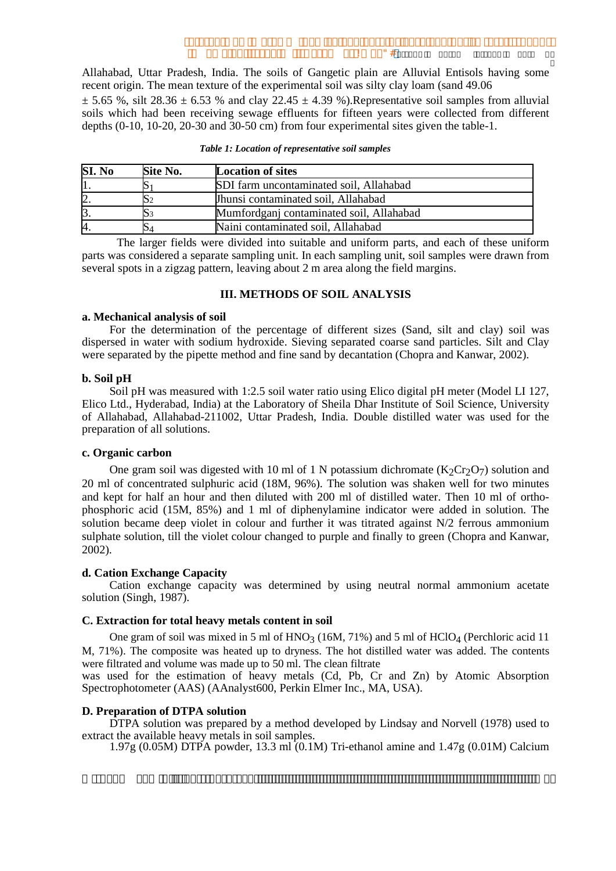Ï

Allahabad, Uttar Pradesh, India. The soils of Gangetic plain are Alluvial Entisols having some recent origin. The mean texture of the experimental soil was silty clay loam (sand 49.06)

 $\pm$  5.65 %, silt 28.36  $\pm$  6.53 % and clay 22.45  $\pm$  4.39 %). Representative soil samples from alluvial soils which had been receiving sewage effluents for fifteen years were collected from different depths  $(0-10, 10-20, 20-30, 10-30)$  and  $(30-50)$  cm from four experimental sites given the table-1.

| SI. No | Site No. | <b>Location of sites</b>                 |
|--------|----------|------------------------------------------|
|        |          | SDI farm uncontaminated soil, Allahabad  |
|        |          | Ihunsi contaminated soil, Allahabad      |
|        |          | Mumfordganj contaminated soil, Allahabad |
| А.     |          | Naini contaminated soil, Allahabad       |

Table 1: Location of representative soil samples

The larger fields were divided into suitable and uniform parts, and each of these uniform parts was considered a separate sampling unit. In each sampling unit, soil samples were drawn from several spots in a zigzag pattern, leaving about 2 m area along the field margins.

## **III. METHODS OF SOIL ANALYSIS**

#### a. Mechanical analysis of soil

For the determination of the percentage of different sizes (Sand, silt and clay) soil was dispersed in water with sodium hydroxide. Sieving separated coarse sand particles. Silt and Clay were separated by the pipette method and fine sand by decantation (Chopra and Kanwar, 2002).

## b. Soil pH

Soil pH was measured with 1:2.5 soil water ratio using Elico digital pH meter (Model LI 127, Elico Ltd., Hyderabad, India) at the Laboratory of Sheila Dhar Institute of Soil Science, University of Allahabad, Allahabad-211002, Uttar Pradesh, India. Double distilled water was used for the preparation of all solutions.

## c. Organic carbon

One gram soil was digested with 10 ml of 1 N potassium dichromate  $(K_2Cr_2O_7)$  solution and 20 ml of concentrated sulphuric acid (18M, 96%). The solution was shaken well for two minutes and kept for half an hour and then diluted with 200 ml of distilled water. Then 10 ml of orthophosphoric acid (15M, 85%) and 1 ml of diphenylamine indicator were added in solution. The solution became deep violet in colour and further it was titrated against N/2 ferrous ammonium sulphate solution, till the violet colour changed to purple and finally to green (Chopra and Kanwar,  $2002$ ).

## d. Cation Exchange Capacity

Cation exchange capacity was determined by using neutral normal ammonium acetate solution (Singh, 1987).

## C. Extraction for total heavy metals content in soil

One gram of soil was mixed in 5 ml of HNO<sub>3</sub> (16M, 71%) and 5 ml of HClO<sub>4</sub> (Perchloric acid 11 M, 71%). The composite was heated up to dryness. The hot distilled water was added. The contents were filtrated and volume was made up to 50 ml. The clean filtrate

was used for the estimation of heavy metals (Cd, Pb, Cr and Zn) by Atomic Absorption Spectrophotometer (AAS) (AAnalyst600, Perkin Elmer Inc., MA, USA).

## D. Preparation of DTPA solution

DTPA solution was prepared by a method developed by Lindsay and Norvell (1978) used to extract the available heavy metals in soil samples.

 $1.97g(0.05M) DTP\AA$  powder, 13.3 ml (0.1M) Tri-ethanol amine and 1.47g (0.01M) Calcium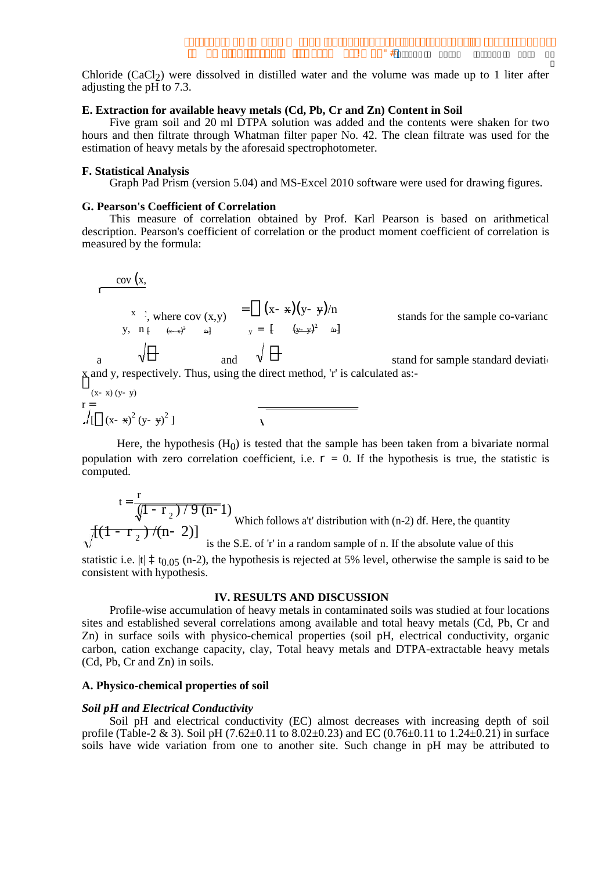$\mathbf{u}$  # Ţ.

Chloride (CaCl<sub>2</sub>) were dissolved in distilled water and the volume was made up to 1 liter after adjusting the pH to 7.3.

## E. Extraction for available heavy metals (Cd, Pb, Cr and Zn) Content in Soil

Five gram soil and 20 ml DTPA solution was added and the contents were shaken for two hours and then filtrate through Whatman filter paper No. 42. The clean filtrate was used for the estimation of heavy metals by the aforesaid spectrophotometer.

## **F. Statistical Analysis**

Graph Pad Prism (version 5.04) and MS-Excel 2010 software were used for drawing figures.

### G. Pearson's Coefficient of Correlation

This measure of correlation obtained by Prof. Karl Pearson is based on arithmetical description. Pearson's coefficient of correlation or the product moment coefficient of correlation is measured by the formula:

$$
\frac{\text{cov}(x)}{1} = \frac{x}{(x + x)(y + y)} = \frac{x}{(x + x)^2}
$$
\n
$$
\text{where } \text{cov}(x, y) = \frac{x}{(x + x)^2}
$$
\n
$$
\text{cov}(x, y) = \frac{x}{(x + x)^2}
$$
\n
$$
\text{cov}(x, y) = \frac{x}{(x + x)^2}
$$
\n
$$
\text{cov}(x, y) = \frac{x}{(x + x)^2}
$$
\n
$$
\text{cov}(x, y) = \frac{x}{(x + x)^2}
$$
\n
$$
\text{cov}(x, y) = \frac{x}{(x + x)^2}
$$
\n
$$
\text{cov}(x, y) = \frac{x}{(x + x)^2}
$$
\n
$$
\text{cov}(x, y) = \frac{x}{(x + x)^2}
$$
\n
$$
\text{cov}(x, y) = \frac{x}{(x + x)^2}
$$
\n
$$
\text{cov}(x, y) = \frac{x}{(x + x)^2}
$$
\n
$$
\text{cov}(x, y) = \frac{x}{(x + x)^2}
$$
\n
$$
\text{cov}(x, y) = \frac{x}{(x + x)^2}
$$
\n
$$
\text{cov}(x, y) = \frac{x}{(x + x)^2}
$$
\n
$$
\text{cov}(x, y) = \frac{x}{(x + x)^2}
$$
\n
$$
\text{cov}(x, y) = \frac{x}{(x + x)^2}
$$
\n
$$
\text{cov}(x, y) = \frac{x}{(x + x)^2}
$$
\n
$$
\text{cov}(x, y) = \frac{x}{(x + x)^2}
$$
\n
$$
\text{cov}(x, y) = \frac{x}{(x + x)^2}
$$
\n
$$
\text{cov}(x, y) = \frac{x}{(x + x)^2}
$$
\n
$$
\text{cov}(x, y) = \frac{x}{(x + x)^2}
$$
\n
$$
\text{cov}(x, y) = \frac{x}{(x + x)^2}
$$
\n
$$
\text{cov}(x, y) = \frac{x}{(x + x)^2}
$$
\n
$$
\text{cov}(x, y) = \frac{x}{(x + x)^2}
$$
\n
$$
\text{cov}(x, y) = \frac{x}{(x + x)^2}
$$
\n
$$
\text{cov}(x, y) = \frac{x
$$

stands for the sample co-variance

stand for sample standard deviation  $ed$  as:- $\overline{\mathbf{x}}$ 

$$
\int_{\Gamma} \frac{(x *)(y *)}{(x *x)^2 (y *y)^2}
$$

Here, the hypothesis  $(H<sub>0</sub>)$  is tested that the sample has been taken from a bivariate normal population with zero correlation coefficient, i.e.  $= 0$ . If the hypothesis is true, the statistic is computed.

$$
t = \frac{r}{\sqrt{1 - r_2} / 9 (n-1)}
$$
  
Which follows a't' distribution with (n-2) df. Here, the quantity  
is the S.E. of 'r' in a random sample of n. If the absolute value of this

statistic i.e.  $|t|$  t<sub>0.05</sub> (n-2), the hypothesis is rejected at 5% level, otherwise the sample is said to be consistent with hypothesis.

## **IV. RESULTS AND DISCUSSION**

Profile-wise accumulation of heavy metals in contaminated soils was studied at four locations sites and established several correlations among available and total heavy metals (Cd, Pb, Cr and Zn) in surface soils with physico-chemical properties (soil pH, electrical conductivity, organic carbon, cation exchange capacity, clay, Total heavy metals and DTPA-extractable heavy metals (Cd, Pb, Cr and Zn) in soils.

## A. Physico-chemical properties of soil

## **Soil pH and Electrical Conductivity**

Soil pH and electrical conductivity (EC) almost decreases with increasing depth of soil profile (Table-2 & 3). Soil pH (7.62±0.11 to 8.02±0.23) and EC (0.76±0.11 to 1.24±0.21) in surface soils have wide variation from one to another site. Such change in pH may be attributed to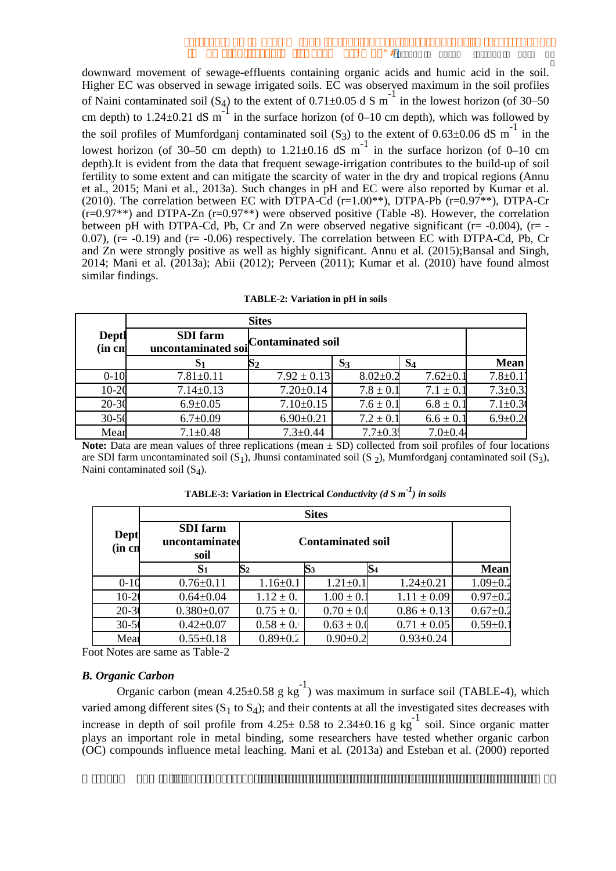downward movement of sewage-effluents containing organic acids and humic acid in the soil. Higher EC was observed in sewage irrigated soils. EC was observed maximum in the soil profiles of Naini contaminated soil  $(S_4)$  to the extent of  $0.71 \pm 0.05$  d S m<sup>-1</sup> in the lowest horizon (of 30–50) cm depth) to 1.24±0.21 dS  $m^{-1}$  in the surface horizon (of 0–10 cm depth), which was followed by the soil profiles of Mumfordganj contaminated soil (S<sub>3</sub>) to the extent of 0.63±0.06 dS m<sup>-1</sup> in the lowest horizon (of 30–50 cm depth) to  $1.21 \pm 0.16$  dS m<sup>-1</sup> in the surface horizon (of 0–10 cm depth). It is evident from the data that frequent sewage-irrigation contributes to the build-up of soil fertility to some extent and can mitigate the scarcity of water in the dry and tropical regions (Annu et al., 2015; Mani et al., 2013a). Such changes in pH and EC were also reported by Kumar et al. (2010). The correlation between EC with DTPA-Cd (r=1.00<sup>\*\*</sup>), DTPA-Pb (r=0.97<sup>\*\*</sup>), DTPA-Cr  $(r=0.97**)$  and DTPA-Zn  $(r=0.97**)$  were observed positive (Table -8). However, the correlation between pH with DTPA-Cd, Pb, Cr and Zn were observed negative significant  $(r = -0.004)$ ,  $(r = -1.004)$ 0.07),  $(r = -0.19)$  and  $(r = -0.06)$  respectively. The correlation between EC with DTPA-Cd, Pb, Cr and Zn were strongly positive as well as highly significant. Annu et al. (2015); Bansal and Singh, 2014; Mani et al. (2013a); Abii (2012); Perveen (2011); Kumar et al. (2010) have found almost similar findings.

|                 | <b>Sites</b>                          |                   |                |                |               |  |  |  |  |  |
|-----------------|---------------------------------------|-------------------|----------------|----------------|---------------|--|--|--|--|--|
| Deptl<br>(in cn | <b>SDI</b> farm<br>uncontaminated soi | Contaminated soil |                |                |               |  |  |  |  |  |
|                 |                                       |                   | $S_3$          | S <sub>4</sub> | Mean          |  |  |  |  |  |
| $0 - 10$        | $7.81 \pm 0.11$                       | $7.92 \pm 0.13$   | $8.02 \pm 0.2$ | $7.62 \pm 0.1$ | $7.8 + 0.1$   |  |  |  |  |  |
| $10-20$         | $7.14 \pm 0.13$                       | $7.20 \pm 0.14$   | $7.8 \pm 0.1$  | $7.1 \pm 0.1$  | $7.3 \pm 0.3$ |  |  |  |  |  |
| $20 - 30$       | $6.9 \pm 0.05$                        | $7.10 \pm 0.15$   | $7.6 \pm 0.1$  | $6.8 \pm 0.1$  | $7.1 \pm 0.3$ |  |  |  |  |  |
| $30 - 50$       | $6.7 \pm 0.09$                        | $6.90 \pm 0.21$   | $7.2 \pm 0.1$  | $6.6 \pm 0.1$  | $6.9 \pm 0.2$ |  |  |  |  |  |
| Mear            | $7.1 \pm 0.48$                        | $7.3 \pm 0.44$    | $7.7 \pm 0.31$ | $7.0 \pm 0.44$ |               |  |  |  |  |  |

| TABLE-2: Variation in pH in soils |  |  |  |  |  |  |  |
|-----------------------------------|--|--|--|--|--|--|--|
|-----------------------------------|--|--|--|--|--|--|--|

**Note:** Data are mean values of three replications (mean  $\pm$  SD) collected from soil profiles of four locations are SDI farm uncontaminated soil  $(S_1)$ , Jhunsi contaminated soil  $(S_2)$ , Mumfordganj contaminated soil  $(S_3)$ , Naini contaminated soil  $(S_4)$ .

|                 |                                           |                | <b>Sites</b>             |                 |                |
|-----------------|-------------------------------------------|----------------|--------------------------|-----------------|----------------|
| Dept<br>(in cn) | <b>SDI</b> farm<br>uncontaminated<br>soil |                | <b>Contaminated soil</b> |                 |                |
|                 | S <sub>1</sub>                            | $\mathbf{S}_2$ | $\mathbf{S}$ 3           | $\mathbf{S}_4$  | <b>Mean</b>    |
| $0 - 10$        | $0.76 \pm 0.11$                           | $1.16 \pm 0.1$ | $1.21 \pm 0.1$           | $1.24 \pm 0.21$ | $1.09 \pm 0.2$ |
| $10-20$         | $0.64 \pm 0.04$                           | $1.12 \pm 0.$  | $1.00 \pm 0.1$           | $1.11 \pm 0.09$ | $0.97 \pm 0.2$ |
| $20 - 30$       | $0.380 \pm 0.07$                          | $0.75 \pm 0.1$ | $0.70 \pm 0.0$           | $0.86 \pm 0.13$ | $0.67 \pm 0.2$ |
| $30 - 50$       | $0.42 \pm 0.07$                           | $0.58 \pm 0.1$ | $0.63 \pm 0.0$           | $0.71 \pm 0.05$ | $0.59+0.$      |
| Mear            | $0.55 \pm 0.18$                           | $0.89 + 0.2$   | $0.90 + 0.2$             | $0.93 \pm 0.24$ |                |

**TABLE-3:** Variation in Electrical Conductivity (d S  $m^{-1}$ ) in soils

Foot Notes are same as Table-2

# **B.** Organic Carbon

Organic carbon (mean  $4.25\pm0.58$  g kg<sup>-1</sup>) was maximum in surface soil (TABLE-4), which varied among different sites  $(S_1 \text{ to } S_4)$ ; and their contents at all the investigated sites decreases with increase in depth of soil profile from  $4.25 \pm 0.58$  to  $2.34 \pm 0.16$  g kg<sup>-1</sup> soil. Since organic matter plays an important role in metal binding, some researchers have tested whether organic carbon  $\overline{O}$  compounds influence metal leaching. Mani et al.  $(2013a)$  and Esteban et al.  $(2000)$  reported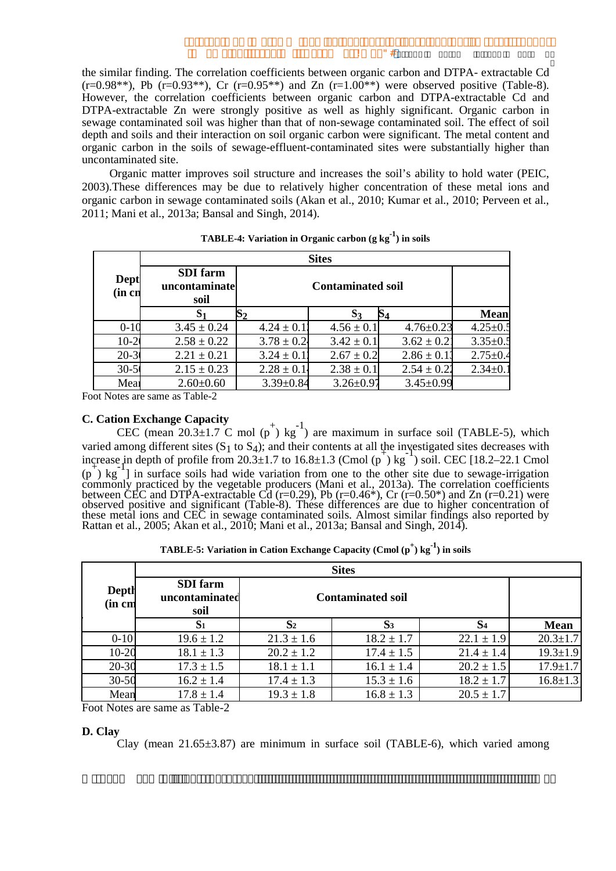the similar finding. The correlation coefficients between organic carbon and DTPA- extractable Cd  $(r=0.98^{**})$ , Pb  $(r=0.93^{**})$ , Cr  $(r=0.95^{**})$  and Zn  $(r=1.00^{**})$  were observed positive (Table-8). However, the correlation coefficients between organic carbon and DTPA-extractable Cd and DTPA-extractable Zn were strongly positive as well as highly significant. Organic carbon in sewage contaminated soil was higher than that of non-sewage contaminated soil. The effect of soil depth and soils and their interaction on soil organic carbon were significant. The metal content and organic carbon in the soils of sewage-effluent-contaminated sites were substantially higher than uncontaminated site.

Organic matter improves soil structure and increases the soil's ability to hold water (PEIC, 2003). These differences may be due to relatively higher concentration of these metal ions and organic carbon in sewage contaminated soils (Akan et al., 2010; Kumar et al., 2010; Perveen et al., 2011: Mani et al., 2013a: Bansal and Singh, 2014).

|                       | <b>Sites</b>                             |                 |                          |                 |                |  |  |  |  |  |
|-----------------------|------------------------------------------|-----------------|--------------------------|-----------------|----------------|--|--|--|--|--|
| <b>Dept</b><br>(in cn | <b>SDI</b> farm<br>uncontaminate<br>soil |                 | <b>Contaminated soil</b> |                 |                |  |  |  |  |  |
|                       |                                          | 52              | $S_3$                    | 84              | Mean           |  |  |  |  |  |
| $0 - 10$              | $3.45 \pm 0.24$                          | $4.24 \pm 0.13$ | $4.56 \pm 0.1$           | $4.76 \pm 0.23$ | $4.25 \pm 0.5$ |  |  |  |  |  |
| $10-20$               | $2.58 \pm 0.22$                          | $3.78 \pm 0.24$ | $3.42 \pm 0.1$           | $3.62 \pm 0.21$ | $3.35 \pm 0.5$ |  |  |  |  |  |
| $20 - 3$              | $2.21 \pm 0.21$                          | $3.24 \pm 0.12$ | $2.67 \pm 0.2$           | $2.86 \pm 0.13$ | $2.75 \pm 0.4$ |  |  |  |  |  |
| $30 - 5$              | $2.15 \pm 0.23$                          | $2.28 \pm 0.14$ | $2.38 \pm 0.1$           | $2.54 \pm 0.22$ | $2.34 \pm 0.1$ |  |  |  |  |  |
| Mea                   | $2.60 \pm 0.60$                          | $3.39 \pm 0.84$ | $3.26 \pm 0.97$          | $3.45 \pm 0.99$ |                |  |  |  |  |  |

**TABLE-4:** Variation in Organic carbon  $(g kg<sup>-1</sup>)$  in soils

Foot Notes are same as Table-2

# **C. Cation Exchange Capacity**

CEC (mean 20.3±1.7 C mol  $(p^+)$  kg<sup>-1</sup>) are maximum in surface soil (TABLE-5), which varied among different sites  $(S_1 \text{ to } S_4)$ ; and their contents at all the investigated sites decreases with increase in depth of profile from 20.3±1.7 to 16.8±1.3 (Cmol  $(p^+)$  kg<sup>-1</sup>) soil. CEC [18.2-22.1 Cmol  $(p)$  kg<sup>-1</sup>] in surface soils had wide variation from one to the other site due to sewage-irrigation (p) kg T in surface sons had wide variation from one to the other she due to sewage-irrigation<br>commonly practiced by the vegetable producers (Mani et al., 2013a). The correlation coefficients<br>between CEC and DTPA-extracta

|                 | <b>Sites</b>                              |                          |                |                |                |  |  |  |  |  |
|-----------------|-------------------------------------------|--------------------------|----------------|----------------|----------------|--|--|--|--|--|
| Depth<br>(in cm | <b>SDI</b> farm<br>uncontaminated<br>soil | <b>Contaminated soil</b> |                |                |                |  |  |  |  |  |
|                 | S <sub>1</sub>                            | S <sub>2</sub>           | S <sub>3</sub> | S <sub>4</sub> | <b>Mean</b>    |  |  |  |  |  |
| $0 - 10$        | $19.6 \pm 1.2$                            | $21.3 \pm 1.6$           | $18.2 \pm 1.7$ | $22.1 \pm 1.9$ | $20.3 \pm 1.7$ |  |  |  |  |  |
| 10-20           | $18.1 \pm 1.3$                            | $20.2 \pm 1.2$           | $17.4 \pm 1.5$ | $21.4 \pm 1.4$ | $19.3 \pm 1.9$ |  |  |  |  |  |
| $20 - 30$       | $17.3 \pm 1.5$                            | $18.1 \pm 1.1$           | $16.1 \pm 1.4$ | $20.2 \pm 1.5$ | $17.9 \pm 1.7$ |  |  |  |  |  |
| $30 - 50$       | $16.2 \pm 1.4$                            | $17.4 \pm 1.3$           | $15.3 \pm 1.6$ | $18.2 \pm 1.7$ | $16.8 \pm 1.3$ |  |  |  |  |  |
| Mean            | $17.8 \pm 1.4$                            | $19.3 \pm 1.8$           | $16.8 \pm 1.3$ | $20.5 \pm 1.7$ |                |  |  |  |  |  |

Foot Notes are same as Table-2

#### D. Clav

Clay (mean  $21.65\pm3.87$ ) are minimum in surface soil (TABLE-6), which varied among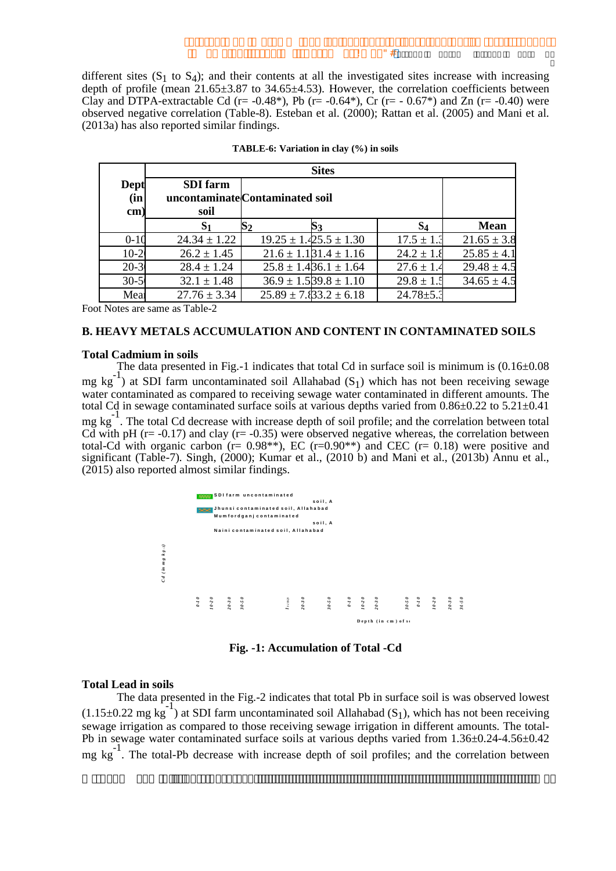Ţ.

different sites  $(S_1 \text{ to } S_4)$ ; and their contents at all the investigated sites increase with increasing depth of profile (mean 21.65±3.87 to 34.65±4.53). However, the correlation coefficients between Clay and DTPA-extractable Cd (r= -0.48\*). Pb (r= -0.64\*). Cr (r= -0.67\*) and Zn (r= -0.40) were observed negative correlation (Table-8). Esteban et al. (2000); Rattan et al. (2005) and Mani et al. (2013a) has also reported similar findings.

|                    |                         | <b>Sites</b> |                                 |                 |                 |  |  |  |  |  |
|--------------------|-------------------------|--------------|---------------------------------|-----------------|-----------------|--|--|--|--|--|
| Dept<br>(in<br>cm) | <b>SDI</b> farm<br>soil |              | uncontaminate Contaminated soil |                 |                 |  |  |  |  |  |
|                    | S <sub>1</sub>          |              |                                 | $S_4$           | <b>Mean</b>     |  |  |  |  |  |
| $0 - 10$           | $24.34 \pm 1.22$        |              | $19.25 \pm 1.425.5 \pm 1.30$    | $17.5 \pm 1.3$  | $21.65 \pm 3.8$ |  |  |  |  |  |
| $10-2$             | $26.2 \pm 1.45$         |              | $21.6 \pm 1.1$ $31.4 \pm 1.16$  | $24.2 \pm 1.8$  | $25.85 \pm 4.1$ |  |  |  |  |  |
| $20 - 3$           | $28.4 \pm 1.24$         |              | $25.8 \pm 1.436.1 \pm 1.64$     | $27.6 \pm 1.4$  | $29.48 \pm 4.5$ |  |  |  |  |  |
| $30 - 5$           | $32.1 \pm 1.48$         |              | $36.9 \pm 1.539.8 \pm 1.10$     | $29.8 \pm 1.5$  | $34.65 \pm 4.5$ |  |  |  |  |  |
| Mea                | $27.76 \pm 3.34$        |              | $25.89 \pm 7.83.2 \pm 6.18$     | $24.78 \pm 5.3$ |                 |  |  |  |  |  |

TABLE-6: Variation in clay (%) in soils

Foot Notes are same as Table-2

## **B. HEAVY METALS ACCUMULATION AND CONTENT IN CONTAMINATED SOILS**

#### **Total Cadmium in soils**

The data presented in Fig.-1 indicates that total Cd in surface soil is minimum is  $(0.16 \pm 0.08)$  $mg \text{ kg}^{-1}$ ) at SDI farm uncontaminated soil Allahabad (S<sub>1</sub>) which has not been receiving sewage water contaminated as compared to receiving sewage water contaminated in different amounts. The total Cd in sewage contaminated surface soils at various depths varied from  $0.86 \pm 0.22$  to  $5.21 \pm 0.41$ mg kg<sup>-1</sup>. The total Cd decrease with increase depth of soil profile; and the correlation between total Cd with pH ( $r = -0.17$ ) and clay ( $r = -0.35$ ) were observed negative whereas, the correlation between total-Cd with organic carbon ( $r = 0.98$ \*\*), EC ( $r = 0.90$ \*\*) and CEC ( $r = 0.18$ ) were positive and significant (Table-7). Singh, (2000); Kumar et al., (2010 b) and Mani et al., (2013b) Annu et al., (2015) also reported almost similar findings.



Fig. -1: Accumulation of Total -Cd

#### **Total Lead in soils**

The data presented in the Fig.-2 indicates that total Pb in surface soil is was observed lowest  $(1.15\pm0.22 \text{ mg kg}^{-1})$  at SDI farm uncontaminated soil Allahabad (S<sub>1</sub>), which has not been receiving sewage irrigation as compared to those receiving sewage irrigation in different amounts. The total-Pb in sewage water contaminated surface soils at various depths varied from  $1.36\pm0.24$ -4.56 $\pm0.42$  $mg \text{ kg}^{-1}$ . The total-Pb decrease with increase depth of soil profiles; and the correlation between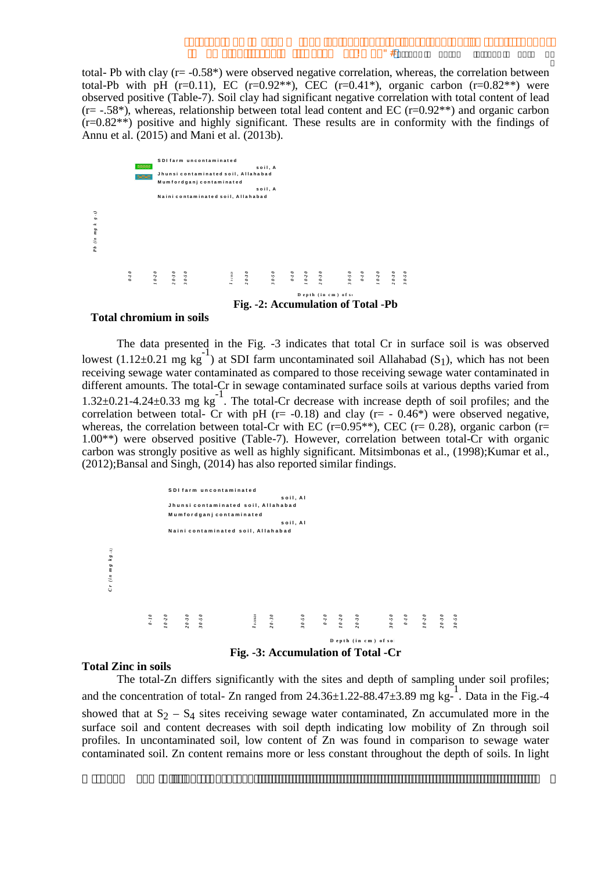total- Pb with clay ( $r = -0.58$ \*) were observed negative correlation, whereas, the correlation between total-Pb with pH (r=0.11), EC (r=0.92<sup>\*\*</sup>), CEC (r=0.41<sup>\*</sup>), organic carbon (r=0.82<sup>\*\*</sup>) were observed positive (Table-7). Soil clay had significant negative correlation with total content of lead  $(r = -.58^*)$ , whereas, relationship between total lead content and EC  $(r=0.92^{**})$  and organic carbon  $(r=0.82^{**})$  positive and highly significant. These results are in conformity with the findings of Annu et al. (2015) and Mani et al. (2013b).

|                                                                                                                   | <b>BOSS</b>  |          |                                                                               | SDI farm uncontaminated<br>Jhunsi contaminated soil, Allahabad<br>Mumfordganj contaminated<br>Naini contaminated soil, Allahabad |                      | soil, A<br>soil, A |  |                                    |  |  |  |
|-------------------------------------------------------------------------------------------------------------------|--------------|----------|-------------------------------------------------------------------------------|----------------------------------------------------------------------------------------------------------------------------------|----------------------|--------------------|--|------------------------------------|--|--|--|
| $g \cdot t$<br>$\tilde{\phantom{a}}$<br>$\boldsymbol{m}$ $\boldsymbol{g}$<br>$\ddot{\varepsilon}$<br>$\mathbf{r}$ |              |          |                                                                               |                                                                                                                                  |                      |                    |  |                                    |  |  |  |
|                                                                                                                   | <b>0 T-0</b> | $0 - 20$ | $\begin{matrix} 0 & -2 & 0 \\ 0 & -2 & 0 \\ 0 & 0 & 0 \end{matrix}$<br>$\sim$ |                                                                                                                                  | $\mathbf{I}$ or over |                    |  | Depth (in cm) of so                |  |  |  |
|                                                                                                                   |              |          |                                                                               |                                                                                                                                  |                      |                    |  | Fig. -2: Accumulation of Total -Pb |  |  |  |

#### **Total chromium in soils**

The data presented in the Fig. -3 indicates that total Cr in surface soil is was observed lowest  $(1.12\pm0.21 \text{ mg kg}^{-1})$  at SDI farm uncontaminated soil Allahabad (S<sub>1</sub>), which has not been receiving sewage water contaminated as compared to those receiving sewage water contaminated in different amounts. The total-Cr in sewage contaminated surface soils at various depths varied from 1.32 $\pm$ 0.21-4.24 $\pm$ 0.33 mg kg<sup>-1</sup>. The total-Cr decrease with increase depth of soil profiles; and the correlation between total- Cr with pH ( $r = -0.18$ ) and clay ( $r = -0.46$ <sup>\*</sup>) were observed negative, whereas, the correlation between total-Cr with EC (r=0.95<sup>\*\*</sup>), CEC (r=0.28), organic carbon (r= 1.00<sup>\*\*</sup>) were observed positive (Table-7). However, correlation between total-Cr with organic carbon was strongly positive as well as highly significant. Mitsimbonas et al., (1998); Kumar et al., (2012); Bansal and Singh, (2014) has also reported similar findings.



#### **Total Zinc in soils**

The total-Zn differs significantly with the sites and depth of sampling under soil profiles; and the concentration of total- Zn ranged from  $24.36 \pm 1.22 - 88.47 \pm 3.89$  mg kg-1. Data in the Fig.-4 showed that at  $S_2 - S_4$  sites receiving sewage water contaminated, Zn accumulated more in the surface soil and content decreases with soil depth indicating low mobility of Zn through soil profiles. In uncontaminated soil, low content of Zn was found in comparison to sewage water contaminated soil. Zn content remains more or less constant throughout the depth of soils. In light

Ţ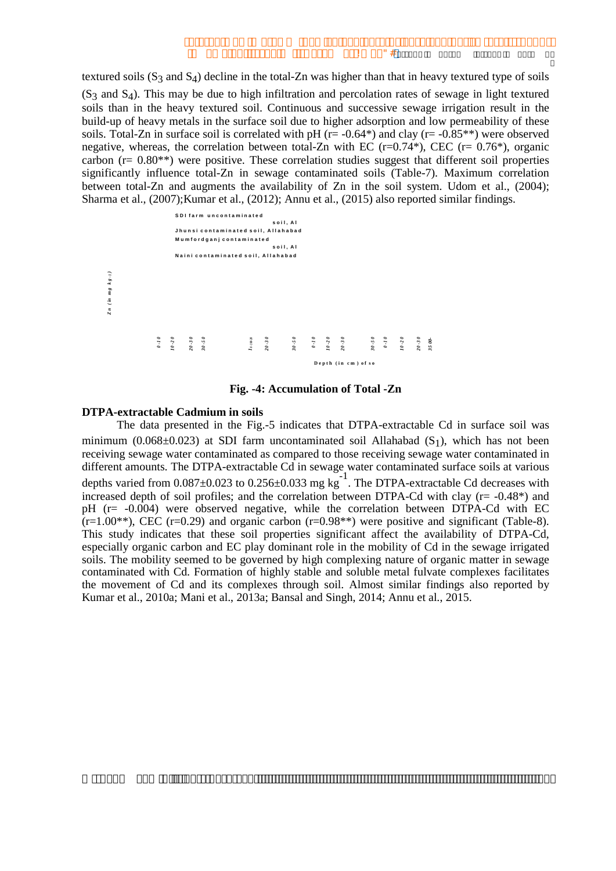textured soils  $(S_3$  and  $S_4$ ) decline in the total-Zn was higher than that in heavy textured type of soils  $(S<sub>3</sub>$  and  $S<sub>4</sub>$ ). This may be due to high infiltration and percolation rates of sewage in light textured soils than in the heavy textured soil. Continuous and successive sewage irrigation result in the build-up of heavy metals in the surface soil due to higher adsorption and low permeability of these soils. Total-Zn in surface soil is correlated with pH ( $r = -0.64$ <sup>\*</sup>) and clay ( $r = -0.85$ <sup>\*\*</sup>) were observed negative, whereas, the correlation between total-Zn with EC  $(r=0.74^*)$ , CEC  $(r=0.76^*)$ , organic carbon ( $r = 0.80$ \*\*) were positive. These correlation studies suggest that different soil properties significantly influence total-Zn in sewage contaminated soils (Table-7). Maximum correlation between total-Zn and augments the availability of Zn in the soil system. Udom et al., (2004); Sharma et al., (2007); Kumar et al., (2012); Annu et al., (2015) also reported similar findings.

 $\mathbf{u}_{\#}$ 

Ţ.



Fig. -4: Accumulation of Total -Zn

## **DTPA-extractable Cadmium in soils**

The data presented in the Fig.-5 indicates that DTPA-extractable Cd in surface soil was minimum (0.068±0.023) at SDI farm uncontaminated soil Allahabad  $(S_1)$ , which has not been receiving sewage water contaminated as compared to those receiving sewage water contaminated in different amounts. The DTPA-extractable Cd in sewage water contaminated surface soils at various depths varied from  $0.087 \pm 0.023$  to  $0.256 \pm 0.033$  mg kg<sup>-1</sup>. The DTPA-extractable Cd decreases with increased depth of soil profiles; and the correlation between DTPA-Cd with clay  $(r = -0.48^*)$  and pH (r= -0.004) were observed negative, while the correlation between DTPA-Cd with EC  $(r=1.00^{**})$ , CEC (r=0.29) and organic carbon (r=0.98<sup>\*\*</sup>) were positive and significant (Table-8). This study indicates that these soil properties significant affect the availability of DTPA-Cd, especially organic carbon and EC play dominant role in the mobility of Cd in the sewage irrigated soils. The mobility seemed to be governed by high complexing nature of organic matter in sewage contaminated with Cd. Formation of highly stable and soluble metal fulvate complexes facilitates the movement of Cd and its complexes through soil. Almost similar findings also reported by Kumar et al., 2010a; Mani et al., 2013a; Bansal and Singh, 2014; Annu et al., 2015.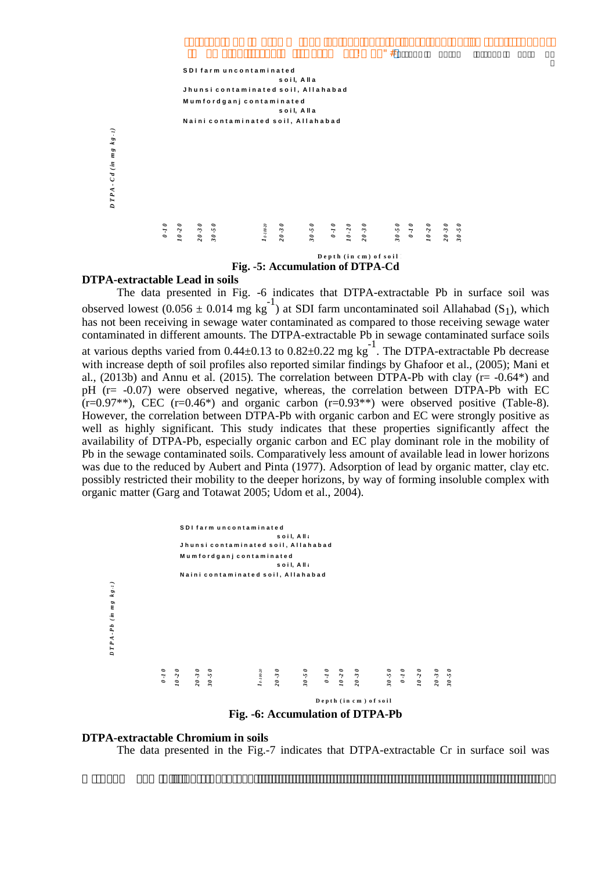

Fig. -5: Accumulation of DTPA-Cd

 $"$ #

Ţ

#### **DTPA-extractable Lead in soils**

The data presented in Fig. -6 indicates that DTPA-extractable Pb in surface soil was observed lowest (0.056 ± 0.014 mg kg<sup>-1</sup>) at SDI farm uncontaminated soil Allahabad (S<sub>1</sub>), which has not been receiving in sewage water contaminated as compared to those receiving sewage water contaminated in different amounts. The DTPA-extractable Pb in sewage contaminated surface soils at various depths varied from  $0.44 \pm 0.13$  to  $0.82 \pm 0.22$  mg kg<sup>-1</sup>. The DTPA-extractable Pb decrease with increase depth of soil profiles also reported similar findings by Ghafoor et al., (2005); Mani et al., (2013b) and Annu et al. (2015). The correlation between DTPA-Pb with clay ( $r = -0.64$ <sup>\*</sup>) and pH  $(r = -0.07)$  were observed negative, whereas, the correlation between DTPA-Pb with EC  $(r=0.97**)$ , CEC  $(r=0.46*)$  and organic carbon  $(r=0.93**)$  were observed positive (Table-8). However, the correlation between DTPA-Pb with organic carbon and EC were strongly positive as well as highly significant. This study indicates that these properties significantly affect the availability of DTPA-Pb, especially organic carbon and EC play dominant role in the mobility of Pb in the sewage contaminated soils. Comparatively less amount of available lead in lower horizons was due to the reduced by Aubert and Pinta (1977). Adsorption of lead by organic matter, clay etc. possibly restricted their mobility to the deeper horizons, by way of forming insoluble complex with organic matter (Garg and Totawat 2005; Udom et al., 2004).



Fig. -6: Accumulation of DTPA-Pb

## **DTPA-extractable Chromium in soils**

The data presented in the Fig.-7 indicates that DTPA-extractable Cr in surface soil was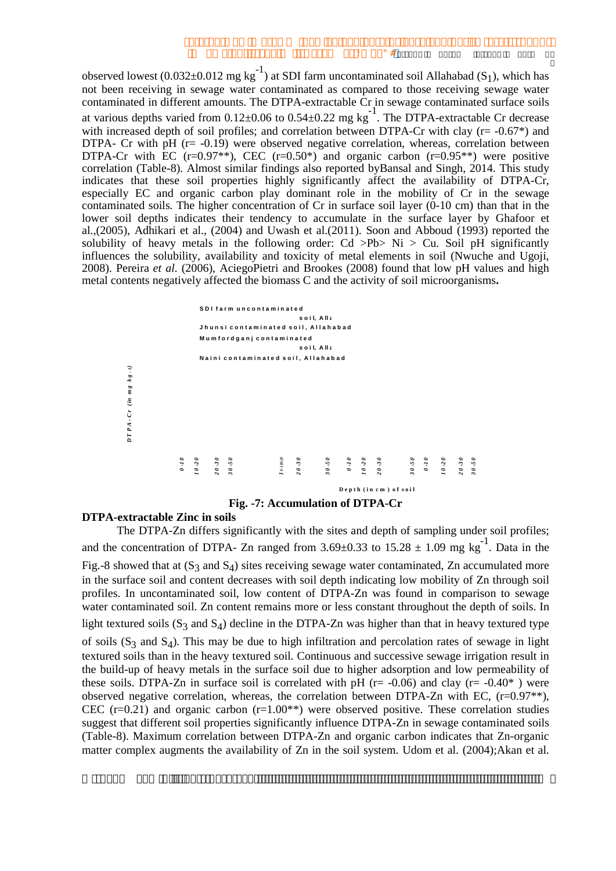observed lowest (0.032±0.012 mg kg<sup>-1</sup>) at SDI farm uncontaminated soil Allahabad (S<sub>1</sub>), which has not been receiving in sewage water contaminated as compared to those receiving sewage water contaminated in different amounts. The DTPA-extractable Cr in sewage contaminated surface soils at various depths varied from  $0.12 \pm 0.06$  to  $0.54 \pm 0.22$  mg kg<sup>-1</sup>. The DTPA-extractable Cr decrease with increased depth of soil profiles; and correlation between DTPA-Cr with clay ( $r = -0.67^*$ ) and DTPA- Cr with  $pH$  ( $r = -0.19$ ) were observed negative correlation, whereas, correlation between DTPA-Cr with EC (r=0.97<sup>\*\*</sup>), CEC (r=0.50<sup>\*</sup>) and organic carbon (r=0.95<sup>\*\*</sup>) were positive correlation (Table-8). Almost similar findings also reported by Bansal and Singh, 2014. This study indicates that these soil properties highly significantly affect the availability of DTPA-Cr, especially EC and organic carbon play dominant role in the mobility of Cr in the sewage contaminated soils. The higher concentration of Cr in surface soil layer (0-10 cm) than that in the lower soil depths indicates their tendency to accumulate in the surface layer by Ghafoor et al.,(2005), Adhikari et al., (2004) and Uwash et al.(2011). Soon and Abboud (1993) reported the solubility of heavy metals in the following order: Cd >Pb> Ni > Cu. Soil pH significantly influences the solubility, availability and toxicity of metal elements in soil (Nwuche and Ugoji, 2008). Pereira et al. (2006), AciegoPietri and Brookes (2008) found that low pH values and high metal contents negatively affected the biomass C and the activity of soil microorganisms.



Fig. -7: Accumulation of DTPA-Cr

# **DTPA-extractable Zinc in soils**

The DTPA-Zn differs significantly with the sites and depth of sampling under soil profiles; and the concentration of DTPA- Zn ranged from 3.69±0.33 to  $15.28 \pm 1.09$  mg kg<sup>-1</sup>. Data in the Fig.-8 showed that at  $(S_3$  and  $S_4$ ) sites receiving sewage water contaminated, Zn accumulated more in the surface soil and content decreases with soil depth indicating low mobility of Zn through soil profiles. In uncontaminated soil, low content of DTPA-Zn was found in comparison to sewage water contaminated soil. Zn content remains more or less constant throughout the depth of soils. In light textured soils  $(S_3$  and  $S_4$ ) decline in the DTPA-Zn was higher than that in heavy textured type of soils  $(S_3$  and  $S_4$ ). This may be due to high infiltration and percolation rates of sewage in light textured soils than in the heavy textured soil. Continuous and successive sewage irrigation result in the build-up of heavy metals in the surface soil due to higher adsorption and low permeability of these soils. DTPA-Zn in surface soil is correlated with pH ( $r = -0.06$ ) and clay ( $r = -0.40^*$ ) were observed negative correlation, whereas, the correlation between DTPA-Zn with EC,  $(r=0.97**)$ , CEC  $(r=0.21)$  and organic carbon  $(r=1.00**)$  were observed positive. These correlation studies suggest that different soil properties significantly influence DTPA-Zn in sewage contaminated soils (Table-8). Maximum correlation between DTPA-Zn and organic carbon indicates that Zn-organic matter complex augments the availability of Zn in the soil system. Udom et al. (2004); Akan et al.

Ţ.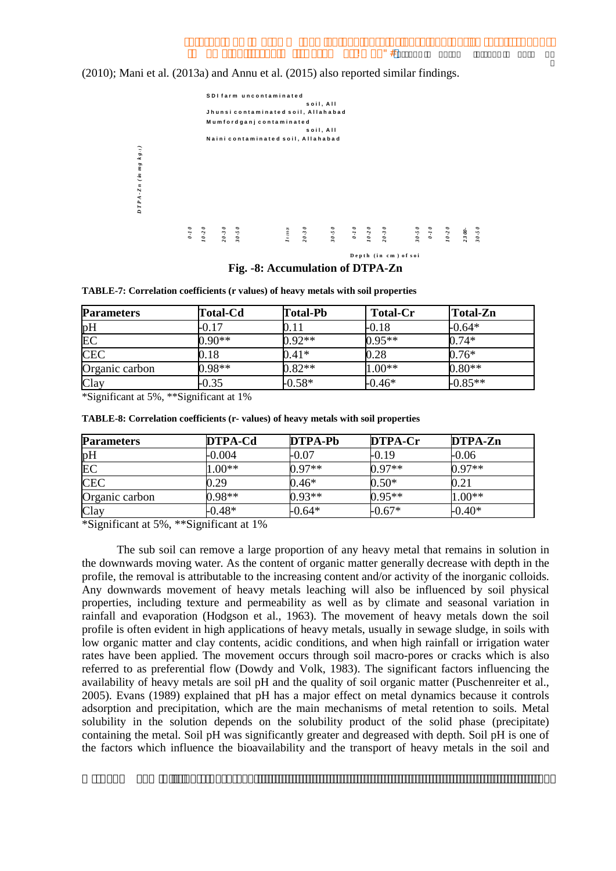Ţ.

(2010); Mani et al. (2013a) and Annu et al. (2015) also reported similar findings.



Fig. -8: Accumulation of DTPA-Zn

TABLE-7: Correlation coefficients (r values) of heavy metals with soil properties

| <b>Parameters</b> | <b>Total-Cd</b> | <b>Total-Pb</b> | <b>Total-Cr</b> | <b>Total-Zn</b> |
|-------------------|-----------------|-----------------|-----------------|-----------------|
| pH                | 0.17            | $0.11\,$        | -0.18           | $-0.64*$        |
| EC                | $0.90**$        | $0.92**$        | $0.95**$        | $0.74*$         |
| <b>CEC</b>        | 0.18            | $0.41*$         | 0.28            | $0.76*$         |
| Organic carbon    | $0.98**$        | $0.82**$        | $1.00**$        | $0.80**$        |
| Clay              | $-0.35$         | $-0.58*$        | $-0.46*$        | $-0.85**$       |

\*Significant at 5%, \*\*Significant at 1%

| TABLE-8: Correlation coefficients (r- values) of heavy metals with soil properties |  |  |  |  |
|------------------------------------------------------------------------------------|--|--|--|--|
|------------------------------------------------------------------------------------|--|--|--|--|

| <b>Parameters</b> | DTPA-Cd  | DTPA-Pb  | DTPA-Cr  | DTPA-Zn  |
|-------------------|----------|----------|----------|----------|
| pН                | $-0.004$ | -0.07    | -0.19    | -0.06    |
| EC                | $1.00**$ | $0.97**$ | $0.97**$ | $0.97**$ |
| <b>CEC</b>        | ).29     | $0.46*$  | $0.50*$  | 0.21     |
| Organic carbon    | $0.98**$ | $0.93**$ | $0.95**$ | $1.00**$ |
| Clay              | $-0.48*$ | $-0.64*$ | $-0.67*$ | $-0.40*$ |

\*Significant at 5%, \*\*Significant at 1%

The sub soil can remove a large proportion of any heavy metal that remains in solution in the downwards moving water. As the content of organic matter generally decrease with depth in the profile, the removal is attributable to the increasing content and/or activity of the inorganic colloids. Any downwards movement of heavy metals leaching will also be influenced by soil physical properties, including texture and permeability as well as by climate and seasonal variation in rainfall and evaporation (Hodgson et al., 1963). The movement of heavy metals down the soil profile is often evident in high applications of heavy metals, usually in sewage sludge, in soils with low organic matter and clay contents, acidic conditions, and when high rainfall or irrigation water rates have been applied. The movement occurs through soil macro-pores or cracks which is also referred to as preferential flow (Dowdy and Volk, 1983). The significant factors influencing the availability of heavy metals are soil pH and the quality of soil organic matter (Puschenreiter et al., 2005). Evans (1989) explained that pH has a major effect on metal dynamics because it controls adsorption and precipitation, which are the main mechanisms of metal retention to soils. Metal solubility in the solution depends on the solubility product of the solid phase (precipitate) containing the metal. Soil pH was significantly greater and degreased with depth. Soil pH is one of the factors which influence the bioavailability and the transport of heavy metals in the soil and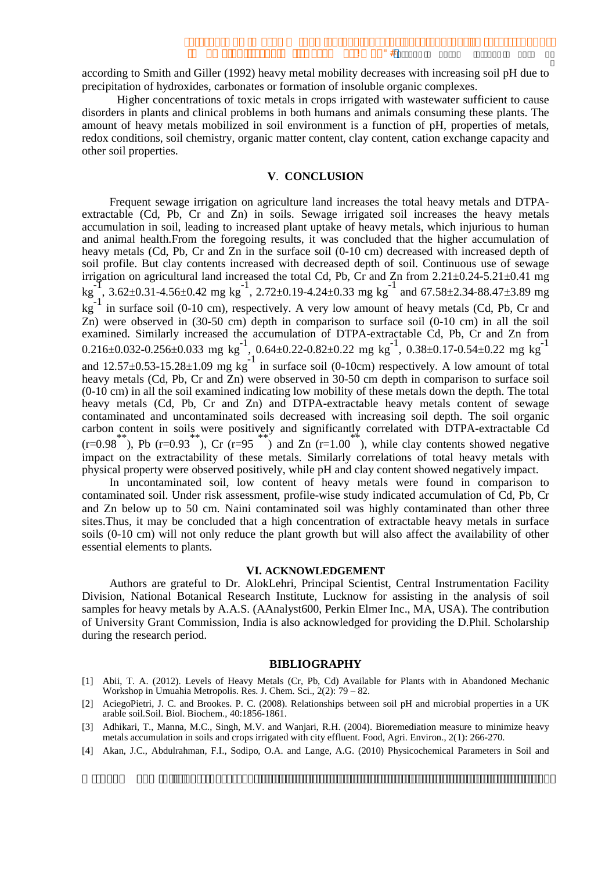according to Smith and Giller (1992) heavy metal mobility decreases with increasing soil pH due to precipitation of hydroxides, carbonates or formation of insoluble organic complexes.

Higher concentrations of toxic metals in crops irrigated with was tewater sufficient to cause disorders in plants and clinical problems in both humans and animals consuming these plants. The amount of heavy metals mobilized in soil environment is a function of pH, properties of metals, redox conditions, soil chemistry, organic matter content, clay content, cation exchange capacity and other soil properties.

### **V. CONCLUSION**

Frequent sewage irrigation on agriculture land increases the total heavy metals and DTPAextractable (Cd, Pb, Cr and Zn) in soils. Sewage irrigated soil increases the heavy metals accumulation in soil, leading to increased plant uptake of heavy metals, which injurious to human and animal health. From the foregoing results, it was concluded that the higher accumulation of heavy metals (Cd, Pb, Cr and Zn in the surface soil (0-10 cm) decreased with increased depth of soil profile. But clay contents increased with decreased depth of soil. Continuous use of sewage irrigation on agricultural land increased the total Cd, Pb, Cr and Zn from 2.21±0.24-5.21±0.41 mg<br>kg<sup>-1</sup>, 3.62±0.31-4.56±0.42 mg kg<sup>-1</sup>, 2.72±0.19-4.24±0.33 mg kg<sup>-1</sup> and 67.58±2.34-88.47±3.89 mg  $\text{kg}^{-1}$  in surface soil (0-10 cm), respectively. A very low amount of heavy metals (Cd, Pb, Cr and Zn) were observed in  $(30-50 \text{ cm})$  depth in comparison to surface soil  $(0-10 \text{ cm})$  in all the soil examined. Similarly increased the accumulation of DTPA-extractable Cd, Pb, Cr and Zn from<br>0.216±0.032-0.256±0.033 mg kg<sup>-1</sup>, 0.64±0.22-0.82±0.22 mg kg<sup>-1</sup>, 0.38±0.17-0.54±0.22 mg kg<sup>-1</sup><br>and 12.57±0.53-15.28±1.09 mg kg<sup>-1</sup> heavy metals (Cd, Pb, Cr and Zn) were observed in 30-50 cm depth in comparison to surface soil (0-10 cm) in all the soil examined indicating low mobility of these metals down the depth. The total heavy metals (Cd, Pb, Cr and Zn) and DTPA-extractable heavy metals content of sewage contaminated and uncontaminated soils decreased with increasing soil depth. The soil organic carbon content in soils were positively and significantly correlated with DTPA-extractable Cd  $(r=0.98$ , Pb  $(r=0.93)$ , Cr  $(r=95)$  and Zn  $(r=1.00)$ , while clay contents showed negative impact on the extractability of these metals. Similarly correlations of total heavy metals with physical property were observed positively, while pH and clay content showed negatively impact.

In uncontaminated soil, low content of heavy metals were found in comparison to contaminated soil. Under risk assessment, profile-wise study indicated accumulation of Cd, Pb, Cr and Zn below up to 50 cm. Naini contaminated soil was highly contaminated than other three sites. Thus, it may be concluded that a high concentration of extractable heavy metals in surface soils (0-10 cm) will not only reduce the plant growth but will also affect the availability of other essential elements to plants.

#### VI. ACKNOWLEDGEMENT

Authors are grateful to Dr. AlokLehri, Principal Scientist, Central Instrumentation Facility Division, National Botanical Research Institute, Lucknow for assisting in the analysis of soil samples for heavy metals by A.A.S. (AAnalyst600, Perkin Elmer Inc., MA, USA). The contribution of University Grant Commission, India is also acknowledged for providing the D.Phil. Scholarship during the research period.

#### **BIBLIOGRAPHY**

- [1] Abii, T. A. (2012). Levels of Heavy Metals (Cr, Pb, Cd) Available for Plants with in Abandoned Mechanic Workshop in Umuahia Metropolis. Res. J. Chem. Sci., 2(2): 79 - 82.
- [2] AciegoPietri, J. C. and Brookes. P. C. (2008). Relationships between soil pH and microbial properties in a UK arable soil.Soil. Biol. Biochem., 40:1856-1861.
- [3] Adhikari, T., Manna, M.C., Singh, M.V. and Wanjari, R.H. (2004). Bioremediation measure to minimize heavy metals accumulation in soils and crops irrigated with city effluent. Food, Agri. Environ., 2(1): 266-270.
- [4] Akan, J.C., Abdulrahman, F.I., Sodipo, O.A. and Lange, A.G. (2010) Physicochemical Parameters in Soil and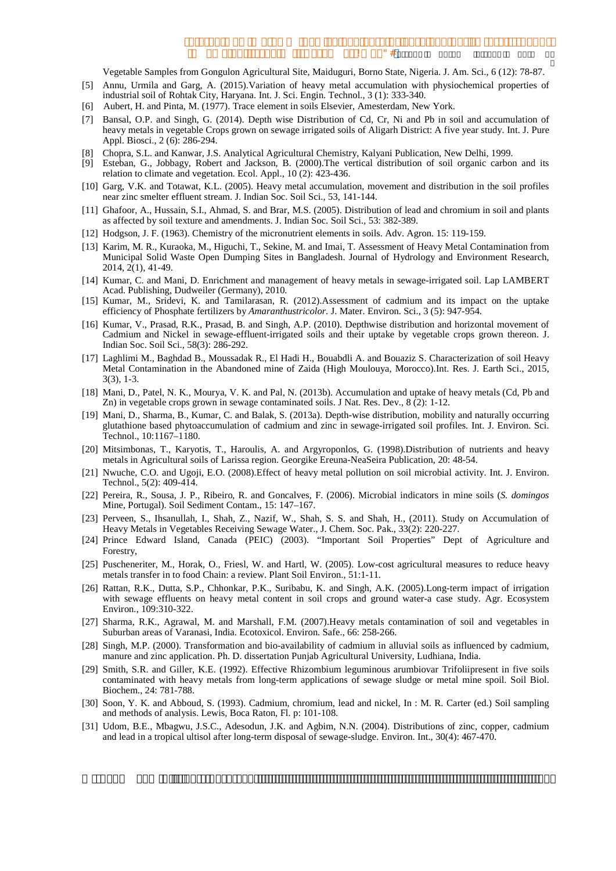T.

Vegetable Samples from Gongulon Agricultural Site, Maiduguri, Borno State, Nigeria. J. Am. Sci., 6 (12): 78-87.

- [5] Annu, Urmila and Garg, A. (2015). Variation of heavy metal accumulation with physiochemical properties of industrial soil of Rohtak City, Haryana. Int. J. Sci. Engin. Technol., 3 (1): 333-340.
- [6] Aubert, H. and Pinta, M. (1977). Trace element in soils Elsevier, Amesterdam, New York.
- [7] Bansal, O.P. and Singh, G. (2014). Depth wise Distribution of Cd, Cr, Ni and Pb in soil and accumulation of heavy metals in vegetable Crops grown on sewage irrigated soils of Aligarh District: A five year study. Int. J. Pure Appl. Biosci., 2 (6): 286-294.
- [8] Chopra, S.L. and Kanwar, J.S. Analytical Agricultural Chemistry, Kalyani Publication, New Delhi, 1999.
- [9] Esteban, G., Jobbagy, Robert and Jackson, B. (2000). The vertical distribution of soil organic carbon and its relation to climate and vegetation. Ecol. Appl., 10 (2): 423-436.
- [10] Garg, V.K. and Totawat, K.L. (2005). Heavy metal accumulation, movement and distribution in the soil profiles near zinc smelter effluent stream. J. Indian Soc. Soil Sci., 53, 141-144.
- [11] Ghafoor, A., Hussain, S.I., Ahmad, S. and Brar, M.S. (2005). Distribution of lead and chromium in soil and plants as affected by soil texture and amendments. J. Indian Soc. Soil Sci., 53: 382-389.
- [12] Hodgson, J. F. (1963). Chemistry of the micronutrient elements in soils. Adv. Agron. 15: 119-159.
- [13] Karim, M. R., Kuraoka, M., Higuchi, T., Sekine, M. and Imai, T. Assessment of Heavy Metal Contamination from Municipal Solid Waste Open Dumping Sites in Bangladesh. Journal of Hydrology and Environment Research, 2014, 2(1), 41-49.
- [14] Kumar, C. and Mani, D. Enrichment and management of heavy metals in sewage-irrigated soil. Lap LAMBERT Acad. Publishing, Dudweiler (Germany), 2010.
- [15] Kumar, M., Sridevi, K. and Tamilarasan, R. (2012). Assessment of cadmium and its impact on the uptake efficiency of Phosphate fertilizers by Amaranthustricolor. J. Mater. Environ. Sci., 3 (5): 947-954.
- [16] Kumar, V., Prasad, R.K., Prasad, B. and Singh, A.P. (2010). Depthwise distribution and horizontal movement of Cadmium and Nickel in sewage-effluent-irrigated soils and their uptake by vegetable crops grown thereon. J. Indian Soc. Soil Sci., 58(3): 286-292.
- [17] Laghlimi M., Baghdad B., Moussadak R., El Hadi H., Bouabdli A. and Bouaziz S. Characterization of soil Heavy Metal Contamination in the Abandoned mine of Zaida (High Moulouya, Morocco).Int. Res. J. Earth Sci., 2015,  $3(3), 1-3.$
- [18] Mani, D., Patel, N. K., Mourya, V. K. and Pal, N. (2013b). Accumulation and uptake of heavy metals (Cd, Pb and Zn) in vegetable crops grown in sewage contaminated soils. J Nat. Res. Dev., 8 (2): 1-12.
- [19] Mani, D., Sharma, B., Kumar, C. and Balak, S. (2013a). Depth-wise distribution, mobility and naturally occurring glutathione based phytoaccumulation of cadmium and zinc in sewage-irrigated soil profiles. Int. J. Environ. Sci. Technol., 10:1167-1180.
- [20] Mitsimbonas, T., Karyotis, T., Haroulis, A. and Argyroponlos, G. (1998). Distribution of nutrients and heavy metals in Agricultural soils of Larissa region. Georgike Ereuna-NeaSeira Publication, 20: 48-54.
- [21] Nwuche, C.O. and Ugoji, E.O. (2008). Effect of heavy metal pollution on soil microbial activity. Int. J. Environ. Technol., 5(2): 409-414.
- [22] Pereira, R., Sousa, J. P., Ribeiro, R. and Goncalves, F. (2006). Microbial indicators in mine soils (S. domingos Mine, Portugal). Soil Sediment Contam., 15: 147-167.
- [23] Perveen, S., Ihsanullah, I., Shah, Z., Nazif, W., Shah, S. S. and Shah, H., (2011). Study on Accumulation of Heavy Metals in Vegetables Receiving Sewage Water., J. Chem. Soc. Pak., 33(2): 220-227.
- [24] Prince Edward Island, Canada (PEIC) (2003). "Important Soil Properties" Dept of Agriculture and Forestry.
- [25] Puscheneriter, M., Horak, O., Friesl, W. and Hartl, W. (2005). Low-cost agricultural measures to reduce heavy metals transfer in to food Chain: a review. Plant Soil Environ., 51:1-11.
- [26] Rattan, R.K., Dutta, S.P., Chhonkar, P.K., Suribabu, K. and Singh, A.K. (2005).Long-term impact of irrigation with sewage effluents on heavy metal content in soil crops and ground water-a case study. Agr. Ecosystem Environ., 109:310-322.
- [27] Sharma, R.K., Agrawal, M. and Marshall, F.M. (2007). Heavy metals contamination of soil and vegetables in Suburban areas of Varanasi, India. Ecotoxicol. Environ. Safe., 66: 258-266.
- [28] Singh, M.P. (2000). Transformation and bio-availability of cadmium in alluvial soils as influenced by cadmium, manure and zinc application. Ph. D. dissertation Punjab Agricultural University, Ludhiana, India.
- [29] Smith, S.R. and Giller, K.E. (1992). Effective Rhizombium leguminous arumbiovar Trifoliipresent in five soils contaminated with heavy metals from long-term applications of sewage sludge or metal mine spoil. Soil Biol. Biochem., 24: 781-788.
- [30] Soon, Y. K. and Abboud, S. (1993). Cadmium, chromium, lead and nickel, In: M. R. Carter (ed.) Soil sampling and methods of analysis. Lewis, Boca Raton, Fl. p: 101-108.
- [31] Udom, B.E., Mbagwu, J.S.C., Adesodun, J.K. and Agbim, N.N. (2004). Distributions of zinc, copper, cadmium and lead in a tropical ultisol after long-term disposal of sewage-sludge. Environ. Int., 30(4): 467-470.